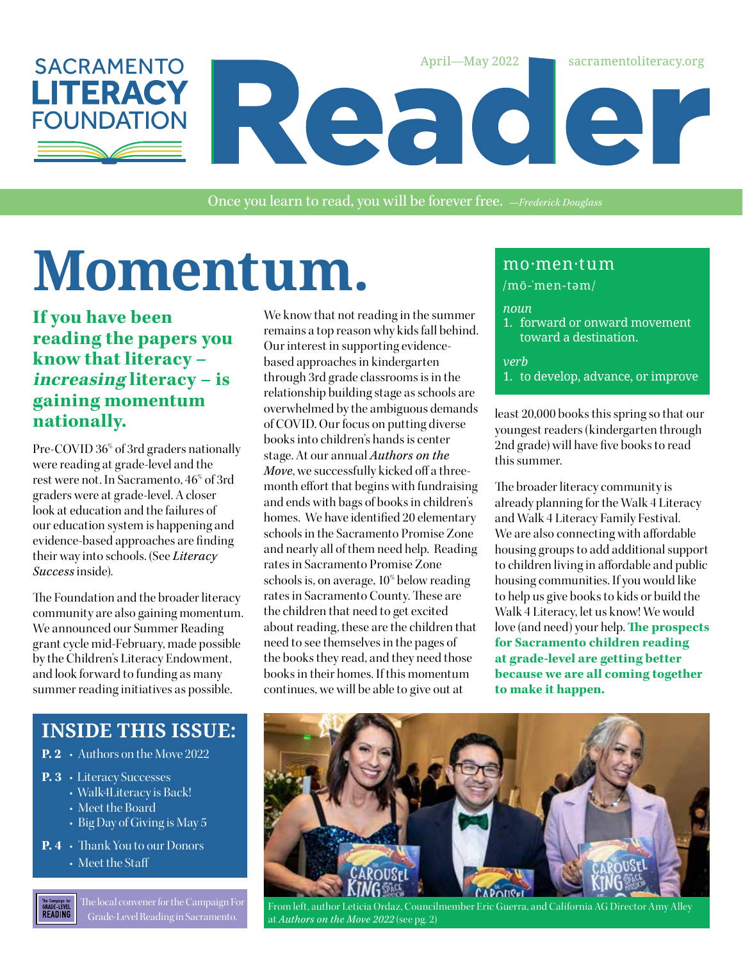

Once you learn to read, you will be forever free. *—Frederick Douglass*

# Momentum. Momentum

### **If you have been reading the papers you know that literacy – increasing literacy – is gaining momentum nationally.**

Pre-COVID 36% of 3rd graders nationally were reading at grade-level and the rest were not. In Sacramento, 46% of 3rd graders were at grade-level. A closer look at education and the failures of our education system is happening and evidence-based approaches are finding their way into schools. (See *Literacy Success* inside).

The Foundation and the broader literacy community are also gaining momentum. We announced our Summer Reading grant cycle mid-February, made possible by the Children's Literacy Endowment, and look forward to funding as many summer reading initiatives as possible.

### **INSIDE THIS ISSUE:**

- **P. 2** Authors on the Move 2022
- **P. 3** Literacy Successes
	- Walk4Literacy is Back!
		- Meet the Board
		- Big Day of Giving is May 5
- **P. 4** Thank You to our Donors
	- Meet the Staff

The local convener for the Campaign For The Campaign for<br>GRADE-LEVEL<br>READING Grade-Level Reading in Sacramento.

We know that not reading in the summer remains a top reason why kids fall behind. Our interest in supporting evidencebased approaches in kindergarten through 3rd grade classrooms is in the relationship building stage as schools are overwhelmed by the ambiguous demands of COVID. Our focus on putting diverse books into children's hands is center stage. At our annual *Authors on the Move*, we successfully kicked off a threemonth effort that begins with fundraising and ends with bags of books in children's homes. We have identified 20 elementary schools in the Sacramento Promise Zone and nearly all of them need help. Reading rates in Sacramento Promise Zone schools is, on average, 10% below reading rates in Sacramento County. These are the children that need to get excited about reading, these are the children that need to see themselves in the pages of the books they read, and they need those books in their homes. If this momentum continues, we will be able to give out at

/mō-'men-təm/

#### *noun*

1. forward or onward movement toward a destination.

*verb*

1. to develop, advance, or improve

least 20,000 books this spring so that our youngest readers (kindergarten through 2nd grade) will have five books to read this summer.

The broader literacy community is already planning for the Walk 4 Literacy and Walk 4 Literacy Family Festival. We are also connecting with affordable housing groups to add additional support to children living in affordable and public housing communities. If you would like to help us give books to kids or build the Walk 4 Literacy, let us know! We would love (and need) your help. **The prospects for Sacramento children reading at grade-level are getting better because we are all coming together to make it happen.**



From left, author Leticia Ordaz, Councilmember Eric Guerra, and California AG Director Amy Alley at *Authors on the Move 2022* (see pg. 2)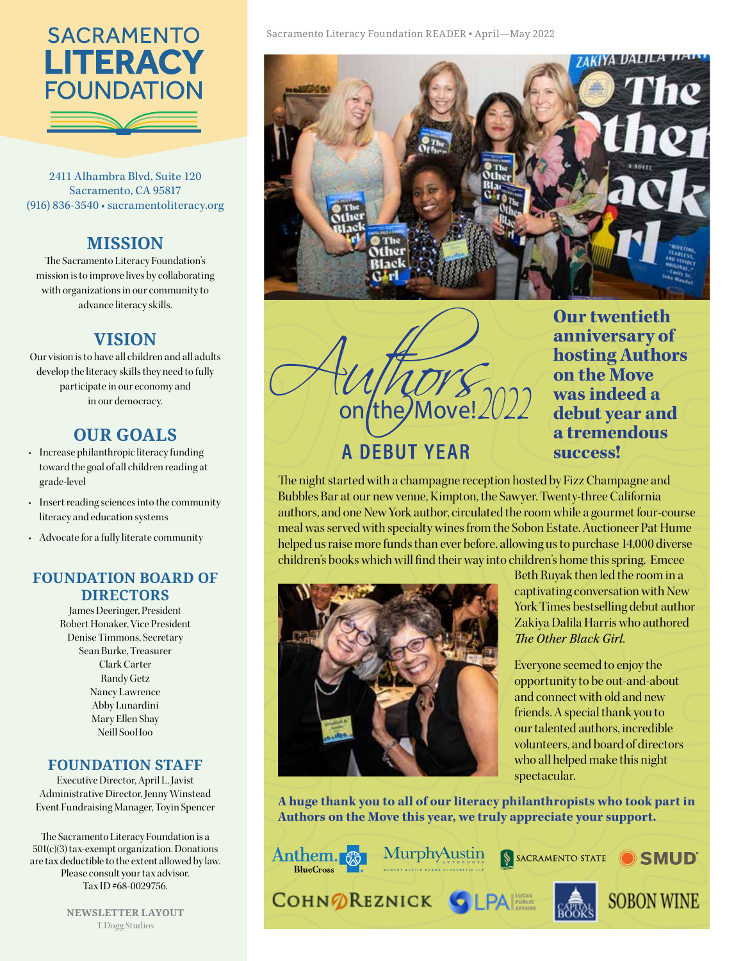## **SACRAMENTO LITERACY FOUNDATION**

2411 Alhambra Blvd, Suite 120 Sacramento, CA 95817 (916) 836-3540 • sacramentoliteracy.org

### **MISSION**

The Sacramento Literacy Foundation's mission is to improve lives by collaborating with organizations in our community to advance literacy skills.

### **VISION**

Our vision is to have all children and all adults develop the literacy skills they need to fully participate in our economy and in our democracy.

### **OUR GOALS**

- Increase philanthropic literacy funding toward the goal of all children reading at grade-level
- Insert reading sciences into the community literacy and education systems
- Advocate for a fully literate community

### **FOUNDATION BOARD OF DIRECTORS**

James Deeringer, President Robert Honaker, Vice President Denise Timmons, Secretary Sean Burke, Treasurer Clark Carter Randy Getz Nancy Lawrence Abby Lunardini Mary Ellen Shay Neill SooHoo

### **FOUNDATION STAFF**

Executive Director, April L. Javist Administrative Director, Jenny Winstead Event Fundraising Manager, Toyin Spencer

The Sacramento Literacy Foundation is a 501(c)(3) tax-exempt organization. Donations are tax deductible to the extent allowed by law. Please consult your tax advisor. Tax ID #68-0029756.

> **NEWSLETTER LAYOUT** T.Dogg Studios



the/Move! **A DEBUT YEAR** 

**Our twentieth anniversary of hosting Authors on the Move was indeed a debut year and a tremendous success!**

The night started with a champagne reception hosted by Fizz Champagne and Bubbles Bar at our new venue, Kimpton, the Sawyer. Twenty-three California authors, and one New York author, circulated the room while a gourmet four-course meal was served with specialty wines from the Sobon Estate. Auctioneer Pat Hume helped us raise more funds than ever before, allowing us to purchase 14,000 diverse children's books which will find their way into children's home this spring. Emcee



Beth Ruyak then led the room in a captivating conversation with New York Times bestselling debut author Zakiya Dalila Harris who authored *The Other Black Girl*.

Everyone seemed to enjoy the opportunity to be out-and-about and connect with old and new friends. A special thank you to our talented authors, incredible volunteers, and board of directors who all helped make this night spectacular.

**A huge thank you to all of our literacy philanthropists who took part in Authors on the Move this year, we truly appreciate your support.** 

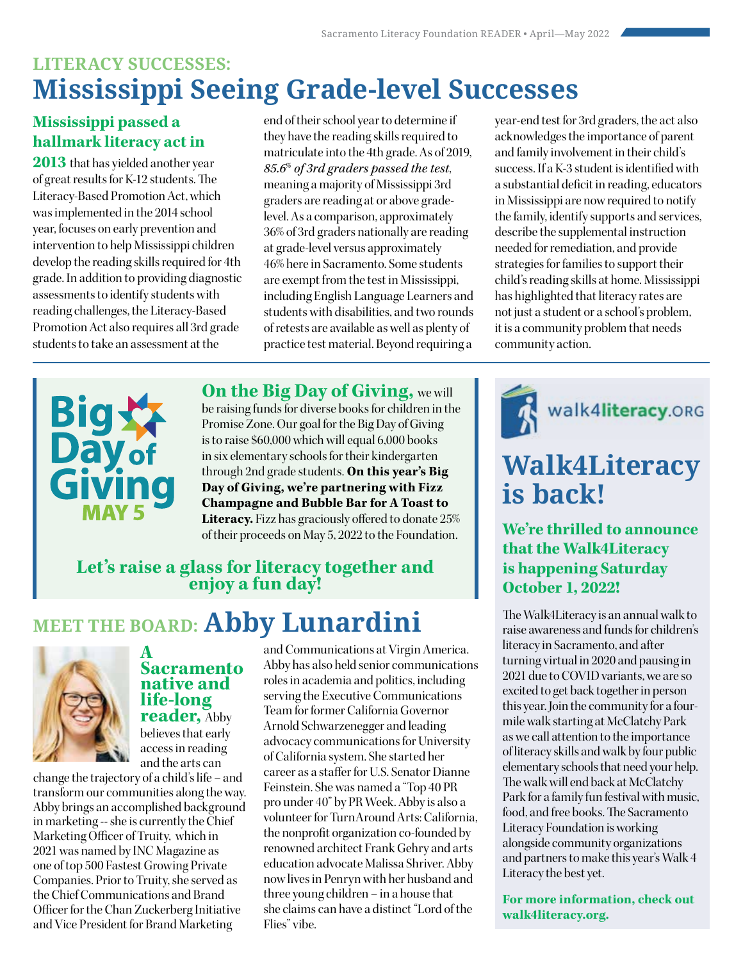### **LITERACY SUCCESSES: Mississippi Seeing Grade-level Successes**

### **Mississippi passed a hallmark literacy act in**

**2013** that has yielded another year of great results for K-12 students. The Literacy-Based Promotion Act, which was implemented in the 2014 school year, focuses on early prevention and intervention to help Mississippi children develop the reading skills required for 4th grade. In addition to providing diagnostic assessments to identify students with reading challenges, the Literacy-Based Promotion Act also requires all 3rd grade students to take an assessment at the

end of their school year to determine if they have the reading skills required to matriculate into the 4th grade. As of 2019, *85.6% of 3rd graders passed the test*, meaning a majority of Mississippi 3rd graders are reading at or above gradelevel. As a comparison, approximately 36% of 3rd graders nationally are reading at grade-level versus approximately 46% here in Sacramento. Some students are exempt from the test in Mississippi, including English Language Learners and students with disabilities, and two rounds of retests are available as well as plenty of practice test material. Beyond requiring a



**On the Big Day of Giving,** we will

be raising funds for diverse books for children in the Promise Zone. Our goal for the Big Day of Giving is to raise \$60,000 which will equal 6,000 books in six elementary schools for their kindergarten through 2nd grade students. **On this year's Big Day of Giving, we're partnering with Fizz Champagne and Bubble Bar for A Toast to Literacy.** Fizz has graciously offered to donate 25% of their proceeds on May 5, 2022 to the Foundation.

**Let's raise a glass for literacy together and enjoy a fun day!**

### **MEET THE BOARD: Abby Lunardini**



**A Sacramento native and life-long reader,** Abby believes that early access in reading

and the arts can change the trajectory of a child's life – and transform our communities along the way. Abby brings an accomplished background in marketing -- she is currently the Chief Marketing Officer of Truity, which in 2021 was named by INC Magazine as one of top 500 Fastest Growing Private Companies. Prior to Truity, she served as the Chief Communications and Brand Officer for the Chan Zuckerberg Initiative and Vice President for Brand Marketing

and Communications at Virgin America. Abby has also held senior communications roles in academia and politics, including serving the Executive Communications Team for former California Governor Arnold Schwarzenegger and leading advocacy communications for University of California system. She started her career as a staffer for U.S. Senator Dianne Feinstein. She was named a "Top 40 PR pro under 40" by PR Week. Abby is also a volunteer for TurnAround Arts: California, the nonprofit organization co-founded by renowned architect Frank Gehry and arts education advocate Malissa Shriver. Abby now lives in Penryn with her husband and three young children – in a house that she claims can have a distinct "Lord of the Flies" vibe.

year-end test for 3rd graders, the act also acknowledges the importance of parent and family involvement in their child's success. If a K-3 student is identified with a substantial deficit in reading, educators in Mississippi are now required to notify the family, identify supports and services, describe the supplemental instruction needed for remediation, and provide strategies for families to support their child's reading skills at home. Mississippi has highlighted that literacy rates are not just a student or a school's problem, it is a community problem that needs community action.



### **Walk4Literacy is back!**

**We're thrilled to announce that the Walk4Literacy is happening Saturday October 1, 2022!** 

The Walk4Literacy is an annual walk to raise awareness and funds for children's literacy in Sacramento, and after turning virtual in 2020 and pausing in 2021 due to COVID variants, we are so excited to get back together in person this year. Join the community for a fourmile walk starting at McClatchy Park as we call attention to the importance of literacy skills and walk by four public elementary schools that need your help. The walk will end back at McClatchy Park for a family fun festival with music, food, and free books. The Sacramento Literacy Foundation is working alongside community organizations and partners to make this year's Walk 4 Literacy the best yet.

**For more information, check out walk4literacy.org.**